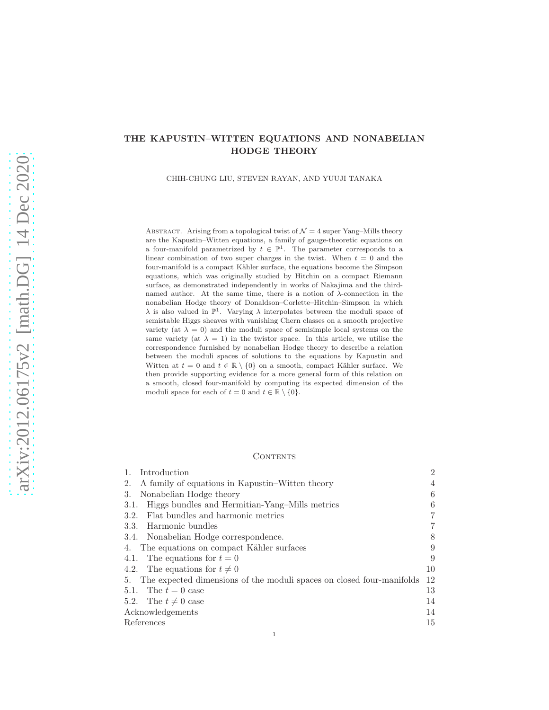# THE KAPUSTIN–WITTEN EQUATIONS AND NONABELIAN HODGE THEORY

CHIH-CHUNG LIU, STEVEN RAYAN, AND YUUJI TANAKA

ABSTRACT. Arising from a topological twist of  $\mathcal{N}=4$  super Yang–Mills theory are the Kapustin–Witten equations, a family of gauge-theoretic equations on a four-manifold parametrized by  $t \in \mathbb{P}^1$ . The parameter corresponds to a linear combination of two super charges in the twist. When  $t = 0$  and the four-manifold is a compact Kähler surface, the equations become the Simpson equations, which was originally studied by Hitchin on a compact Riemann surface, as demonstrated independently in works of Nakajima and the thirdnamed author. At the same time, there is a notion of  $\lambda$ -connection in the nonabelian Hodge theory of Donaldson–Corlette–Hitchin–Simpson in which  $\lambda$  is also valued in  $\mathbb{P}^1$ . Varying  $\lambda$  interpolates between the moduli space of semistable Higgs sheaves with vanishing Chern classes on a smooth projective variety (at  $\lambda = 0$ ) and the moduli space of semisimple local systems on the same variety (at  $\lambda = 1$ ) in the twistor space. In this article, we utilise the correspondence furnished by nonabelian Hodge theory to describe a relation between the moduli spaces of solutions to the equations by Kapustin and Witten at  $t = 0$  and  $t \in \mathbb{R} \setminus \{0\}$  on a smooth, compact Kähler surface. We then provide supporting evidence for a more general form of this relation on a smooth, closed four-manifold by computing its expected dimension of the moduli space for each of  $t = 0$  and  $t \in \mathbb{R} \setminus \{0\}.$ 

#### **CONTENTS**

| 4  |
|----|
| 6  |
| 6  |
| 7  |
| 7  |
| 8  |
| 9  |
| 9  |
| 10 |
| 12 |
| 13 |
| 14 |
| 14 |
| 15 |
|    |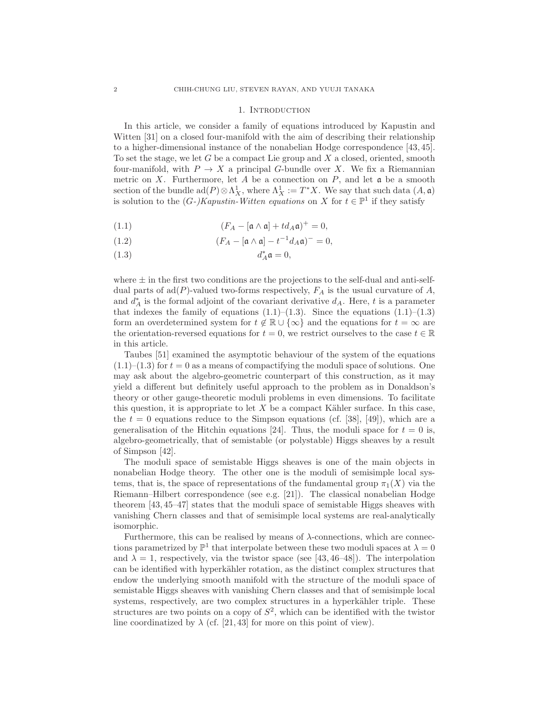#### 1. INTRODUCTION

In this article, we consider a family of equations introduced by Kapustin and Witten [31] on a closed four-manifold with the aim of describing their relationship to a higher-dimensional instance of the nonabelian Hodge correspondence [43, 45]. To set the stage, we let  $G$  be a compact Lie group and  $X$  a closed, oriented, smooth four-manifold, with  $P \to X$  a principal G-bundle over X. We fix a Riemannian metric on X. Furthermore, let A be a connection on  $P$ , and let  $\mathfrak a$  be a smooth section of the bundle  $\text{ad}(P) \otimes \Lambda_X^1$ , where  $\Lambda_X^1 := T^*X$ . We say that such data  $(A, \mathfrak{a})$ is solution to the  $(G-)Kapustin-Witten\ equations\ on\ X\ for\ t\in\mathbb{P}^1$  if they satisfy

(1.1) 
$$
(F_A - [\mathfrak{a} \wedge \mathfrak{a}] + td_A \mathfrak{a})^+ = 0,
$$

(1.2) 
$$
(F_A - [\mathfrak{a} \wedge \mathfrak{a}] - t^{-1} d_A \mathfrak{a})^{-} = 0,
$$

$$
d_A^*\mathfrak{a} = 0,
$$

where  $\pm$  in the first two conditions are the projections to the self-dual and anti-selfdual parts of  $ad(P)$ -valued two-forms respectively,  $F_A$  is the usual curvature of A, and  $d_A^*$  is the formal adjoint of the covariant derivative  $d_A$ . Here, t is a parameter that indexes the family of equations  $(1.1)$ – $(1.3)$ . Since the equations  $(1.1)$ – $(1.3)$ form an overdetermined system for  $t \notin \mathbb{R} \cup \{\infty\}$  and the equations for  $t = \infty$  are the orientation-reversed equations for  $t = 0$ , we restrict ourselves to the case  $t \in \mathbb{R}$ in this article.

Taubes [51] examined the asymptotic behaviour of the system of the equations  $(1.1)$ – $(1.3)$  for  $t = 0$  as a means of compactifying the moduli space of solutions. One may ask about the algebro-geometric counterpart of this construction, as it may yield a different but definitely useful approach to the problem as in Donaldson's theory or other gauge-theoretic moduli problems in even dimensions. To facilitate this question, it is appropriate to let  $X$  be a compact Kähler surface. In this case, the  $t = 0$  equations reduce to the Simpson equations (cf. [38], [49]), which are a generalisation of the Hitchin equations [24]. Thus, the moduli space for  $t = 0$  is, algebro-geometrically, that of semistable (or polystable) Higgs sheaves by a result of Simpson [42].

The moduli space of semistable Higgs sheaves is one of the main objects in nonabelian Hodge theory. The other one is the moduli of semisimple local systems, that is, the space of representations of the fundamental group  $\pi_1(X)$  via the Riemann–Hilbert correspondence (see e.g. [21]). The classical nonabelian Hodge theorem [43, 45–47] states that the moduli space of semistable Higgs sheaves with vanishing Chern classes and that of semisimple local systems are real-analytically isomorphic.

Furthermore, this can be realised by means of  $\lambda$ -connections, which are connections parametrized by  $\mathbb{P}^1$  that interpolate between these two moduli spaces at  $\lambda = 0$ and  $\lambda = 1$ , respectively, via the twistor space (see [43, 46–48]). The interpolation can be identified with hyperkähler rotation, as the distinct complex structures that endow the underlying smooth manifold with the structure of the moduli space of semistable Higgs sheaves with vanishing Chern classes and that of semisimple local systems, respectively, are two complex structures in a hyperkähler triple. These structures are two points on a copy of  $S^2$ , which can be identified with the twistor line coordinatized by  $\lambda$  (cf. [21, 43] for more on this point of view).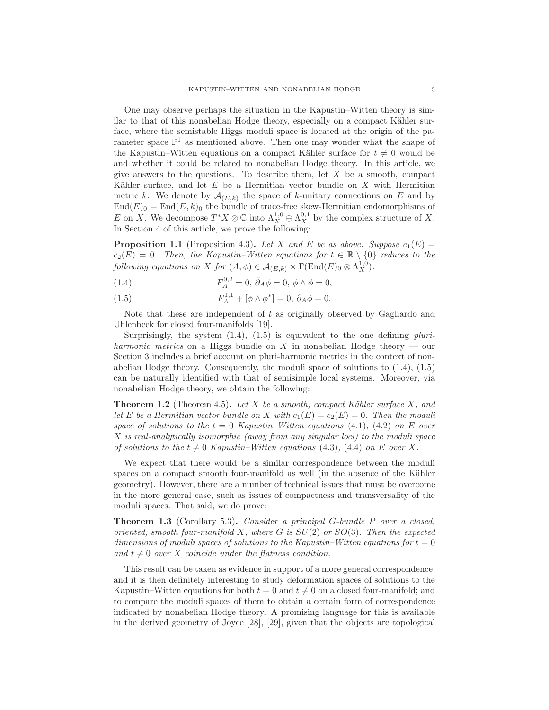One may observe perhaps the situation in the Kapustin–Witten theory is similar to that of this nonabelian Hodge theory, especially on a compact Kähler surface, where the semistable Higgs moduli space is located at the origin of the parameter space  $\mathbb{P}^1$  as mentioned above. Then one may wonder what the shape of the Kapustin–Witten equations on a compact Kähler surface for  $t \neq 0$  would be and whether it could be related to nonabelian Hodge theory. In this article, we give answers to the questions. To describe them, let  $X$  be a smooth, compact Kähler surface, and let  $E$  be a Hermitian vector bundle on  $X$  with Hermitian metric k. We denote by  $\mathcal{A}_{(E,k)}$  the space of k-unitary connections on E and by  $\text{End}(E)_0 = \text{End}(E, k)_0$  the bundle of trace-free skew-Hermitian endomorphisms of E on X. We decompose  $T^*X \otimes \mathbb{C}$  into  $\Lambda_X^{1,0} \oplus \Lambda_X^{0,1}$  by the complex structure of X. In Section 4 of this article, we prove the following:

**Proposition 1.1** (Proposition 4.3). Let X and E be as above. Suppose  $c_1(E)$  =  $c_2(E) = 0$ . Then, the Kapustin–Witten equations for  $t \in \mathbb{R} \setminus \{0\}$  reduces to the *following equations on* X *for*  $(A, \phi) \in \mathcal{A}_{(E,k)} \times \Gamma(\text{End}(E)_0 \otimes \Lambda_X^{1,0})$ .

(1.4) 
$$
F_A^{0,2} = 0, \, \bar{\partial}_A \phi = 0, \, \phi \wedge \phi = 0,
$$

(1.5) 
$$
F_A^{1,1} + [\phi \wedge \phi^*] = 0, \ \partial_A \phi = 0.
$$

Note that these are independent of t as originally observed by Gagliardo and Uhlenbeck for closed four-manifolds [19].

Surprisingly, the system (1.4), (1.5) is equivalent to the one defining *pluriharmonic metrics* on a Higgs bundle on X in nonabelian Hodge theory — our Section 3 includes a brief account on pluri-harmonic metrics in the context of nonabelian Hodge theory. Consequently, the moduli space of solutions to (1.4), (1.5) can be naturally identified with that of semisimple local systems. Moreover, via nonabelian Hodge theory, we obtain the following:

Theorem 1.2 (Theorem 4.5). *Let* X *be a smooth, compact K¨ahler surface* X*, and let* E *be a Hermitian vector bundle on* X *with*  $c_1(E) = c_2(E) = 0$ *. Then the moduli space of solutions to the*  $t = 0$  *Kapustin–Witten equations* (4.1), (4.2) *on* E *over* X *is real-analytically isomorphic (away from any singular loci) to the moduli space of solutions to the*  $t \neq 0$  *Kapustin–Witten equations* (4.3)*,* (4.4) *on E over X*.

We expect that there would be a similar correspondence between the moduli spaces on a compact smooth four-manifold as well (in the absence of the Kähler geometry). However, there are a number of technical issues that must be overcome in the more general case, such as issues of compactness and transversality of the moduli spaces. That said, we do prove:

Theorem 1.3 (Corollary 5.3). *Consider a principal* G*-bundle* P *over a closed, oriented, smooth four-manifold* X*, where* G *is* SU(2) *or* SO(3)*. Then the expected dimensions of moduli spaces of solutions to the Kapustin–Witten equations for*  $t = 0$ and  $t \neq 0$  *over* X *coincide under the flatness condition.* 

This result can be taken as evidence in support of a more general correspondence, and it is then definitely interesting to study deformation spaces of solutions to the Kapustin–Witten equations for both  $t = 0$  and  $t \neq 0$  on a closed four-manifold; and to compare the moduli spaces of them to obtain a certain form of correspondence indicated by nonabelian Hodge theory. A promising language for this is available in the derived geometry of Joyce [28], [29], given that the objects are topological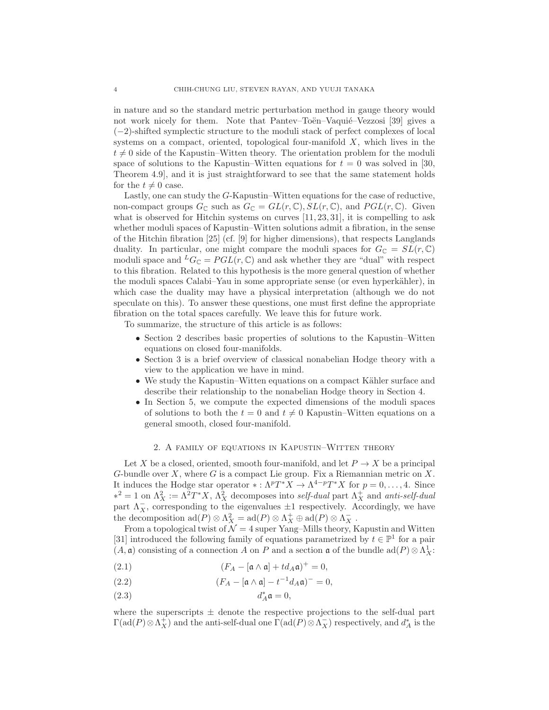in nature and so the standard metric perturbation method in gauge theory would not work nicely for them. Note that Pantev–Toën–Vaquié–Vezzosi [39] gives a (−2)-shifted symplectic structure to the moduli stack of perfect complexes of local systems on a compact, oriented, topological four-manifold  $X$ , which lives in the  $t \neq 0$  side of the Kapustin–Witten theory. The orientation problem for the moduli space of solutions to the Kapustin–Witten equations for  $t = 0$  was solved in [30, Theorem 4.9], and it is just straightforward to see that the same statement holds for the  $t \neq 0$  case.

Lastly, one can study the G-Kapustin–Witten equations for the case of reductive, non-compact groups  $G_{\mathbb{C}}$  such as  $G_{\mathbb{C}} = GL(r, \mathbb{C}), SL(r, \mathbb{C})$ , and  $PGL(r, \mathbb{C})$ . Given what is observed for Hitchin systems on curves  $[11, 23, 31]$ , it is compelling to ask whether moduli spaces of Kapustin–Witten solutions admit a fibration, in the sense of the Hitchin fibration [25] (cf. [9] for higher dimensions), that respects Langlands duality. In particular, one might compare the moduli spaces for  $G_{\mathbb{C}} = SL(r, \mathbb{C})$ moduli space and  $^L G_{\mathbb C} = PGL(r, {\mathbb C})$  and ask whether they are "dual" with respect to this fibration. Related to this hypothesis is the more general question of whether the moduli spaces Calabi–Yau in some appropriate sense (or even hyperkähler), in which case the duality may have a physical interpretation (although we do not speculate on this). To answer these questions, one must first define the appropriate fibration on the total spaces carefully. We leave this for future work.

To summarize, the structure of this article is as follows:

- Section 2 describes basic properties of solutions to the Kapustin–Witten equations on closed four-manifolds.
- Section 3 is a brief overview of classical nonabelian Hodge theory with a view to the application we have in mind.
- We study the Kapustin–Witten equations on a compact Kähler surface and describe their relationship to the nonabelian Hodge theory in Section 4.
- In Section 5, we compute the expected dimensions of the moduli spaces of solutions to both the  $t = 0$  and  $t \neq 0$  Kapustin–Witten equations on a general smooth, closed four-manifold.

### 2. A family of equations in Kapustin–Witten theory

Let X be a closed, oriented, smooth four-manifold, and let  $P \to X$  be a principal G-bundle over  $X$ , where  $G$  is a compact Lie group. Fix a Riemannian metric on  $X$ . It induces the Hodge star operator  $*: \Lambda^p T^* X \to \Lambda^{4-p} T^* X$  for  $p = 0, \ldots, 4$ . Since  $\lambda^2 = 1$  on  $\Lambda_X^2 := \Lambda^2 T^* X$ ,  $\Lambda_X^2$  decomposes into *self-dual* part  $\Lambda_X^+$  and *anti-self-dual* part  $\Lambda_X^-$ , corresponding to the eigenvalues  $\pm 1$  respectively. Accordingly, we have the decomposition  $\text{ad}(P) \otimes \Lambda_X^2 = \text{ad}(P) \otimes \Lambda_X^+ \oplus \text{ad}(P) \otimes \Lambda_X^-$ .

From a topological twist of  $\mathcal{N} = 4$  super Yang–Mills theory, Kapustin and Witten [31] introduced the following family of equations parametrized by  $t \in \mathbb{P}^1$  for a pair  $(A, \mathfrak{a})$  consisting of a connection A on P and a section  $\mathfrak{a}$  of the bundle  $\text{ad}(P) \otimes \Lambda_X^1$ :

(2.1) 
$$
(F_A - [\mathfrak{a} \wedge \mathfrak{a}] + td_A \mathfrak{a})^+ = 0,
$$

(2.2) 
$$
(F_A - [\mathfrak{a} \wedge \mathfrak{a}] - t^{-1} d_A \mathfrak{a})^{-} = 0,
$$

(2.3)  $d_A^* \mathfrak{a} = 0,$ 

where the superscripts  $\pm$  denote the respective projections to the self-dual part  $\Gamma(\text{ad}(P)\otimes\Lambda_X^+)$  and the anti-self-dual one  $\Gamma(\text{ad}(P)\otimes\Lambda_X^-)$  respectively, and  $d_A^*$  is the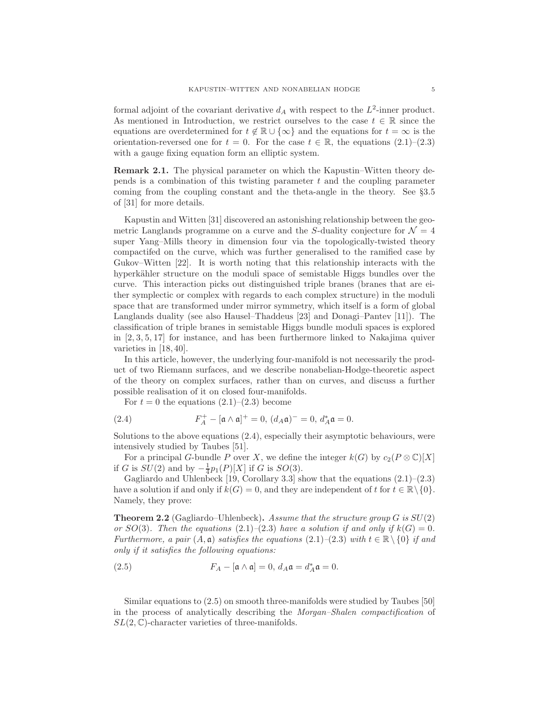formal adjoint of the covariant derivative  $d_A$  with respect to the  $L^2$ -inner product. As mentioned in Introduction, we restrict ourselves to the case  $t \in \mathbb{R}$  since the equations are overdetermined for  $t \notin \mathbb{R} \cup \{\infty\}$  and the equations for  $t = \infty$  is the orientation-reversed one for  $t = 0$ . For the case  $t \in \mathbb{R}$ , the equations  $(2.1)$ – $(2.3)$ with a gauge fixing equation form an elliptic system.

Remark 2.1. The physical parameter on which the Kapustin–Witten theory depends is a combination of this twisting parameter  $t$  and the coupling parameter coming from the coupling constant and the theta-angle in the theory. See §3.5 of [31] for more details.

Kapustin and Witten [31] discovered an astonishing relationship between the geometric Langlands programme on a curve and the S-duality conjecture for  $\mathcal{N} = 4$ super Yang–Mills theory in dimension four via the topologically-twisted theory compactifed on the curve, which was further generalised to the ramified case by Gukov–Witten [22]. It is worth noting that this relationship interacts with the hyperkähler structure on the moduli space of semistable Higgs bundles over the curve. This interaction picks out distinguished triple branes (branes that are either symplectic or complex with regards to each complex structure) in the moduli space that are transformed under mirror symmetry, which itself is a form of global Langlands duality (see also Hausel–Thaddeus [23] and Donagi–Pantev [11]). The classification of triple branes in semistable Higgs bundle moduli spaces is explored in  $[2, 3, 5, 17]$  for instance, and has been furthermore linked to Nakajima quiver varieties in [18, 40].

In this article, however, the underlying four-manifold is not necessarily the product of two Riemann surfaces, and we describe nonabelian-Hodge-theoretic aspect of the theory on complex surfaces, rather than on curves, and discuss a further possible realisation of it on closed four-manifolds.

For  $t = 0$  the equations  $(2.1)$ – $(2.3)$  become

(2.4) 
$$
F_A^+ - [\mathfrak{a} \wedge \mathfrak{a}]^+ = 0, (d_A \mathfrak{a})^- = 0, d_A^* \mathfrak{a} = 0.
$$

Solutions to the above equations (2.4), especially their asymptotic behaviours, were intensively studied by Taubes [51].

For a principal G-bundle P over X, we define the integer  $k(G)$  by  $c_2(P \otimes \mathbb{C})[X]$ if G is  $SU(2)$  and by  $-\frac{1}{4}p_1(P)[X]$  if G is  $SO(3)$ .

Gagliardo and Uhlenbeck [19, Corollary 3.3] show that the equations  $(2.1)$ – $(2.3)$ have a solution if and only if  $k(G) = 0$ , and they are independent of t for  $t \in \mathbb{R} \setminus \{0\}$ . Namely, they prove:

Theorem 2.2 (Gagliardo–Uhlenbeck). *Assume that the structure group* G *is* SU(2) *or*  $SO(3)$ *. Then the equations*  $(2.1)$ *–* $(2.3)$  *have a solution if and only if*  $k(G) = 0$ *. Furthermore, a pair*  $(A, \mathfrak{a})$  *satisfies the equations*  $(2.1)$ *–* $(2.3)$  *with*  $t \in \mathbb{R} \setminus \{0\}$  *if and only if it satisfies the following equations:*

(2.5) 
$$
F_A - [\mathfrak{a} \wedge \mathfrak{a}] = 0, d_A \mathfrak{a} = d_A^* \mathfrak{a} = 0.
$$

Similar equations to (2.5) on smooth three-manifolds were studied by Taubes [50] in the process of analytically describing the *Morgan–Shalen compactification* of  $SL(2,\mathbb{C})$ -character varieties of three-manifolds.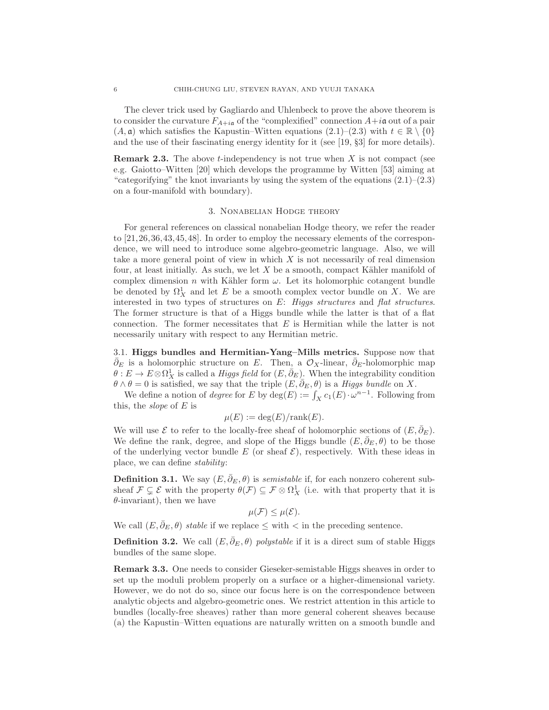The clever trick used by Gagliardo and Uhlenbeck to prove the above theorem is to consider the curvature  $F_{A+i\mathfrak{a}}$  of the "complexified" connection  $A+i\mathfrak{a}$  out of a pair  $(A, \mathfrak{a})$  which satisfies the Kapustin–Witten equations  $(2.1)$ – $(2.3)$  with  $t \in \mathbb{R} \setminus \{0\}$ and the use of their fascinating energy identity for it (see [19, §3] for more details).

**Remark 2.3.** The above t-independency is not true when  $X$  is not compact (see e.g. Gaiotto–Witten [20] which develops the programme by Witten [53] aiming at "categorifying" the knot invariants by using the system of the equations  $(2.1)$ – $(2.3)$ on a four-manifold with boundary).

## 3. Nonabelian Hodge theory

For general references on classical nonabelian Hodge theory, we refer the reader to [21,26,36,43,45,48]. In order to employ the necessary elements of the correspondence, we will need to introduce some algebro-geometric language. Also, we will take a more general point of view in which  $X$  is not necessarily of real dimension four, at least initially. As such, we let  $X$  be a smooth, compact Kähler manifold of complex dimension n with Kähler form  $\omega$ . Let its holomorphic cotangent bundle be denoted by  $\Omega^1_X$  and let E be a smooth complex vector bundle on X. We are interested in two types of structures on E: *Higgs structures* and *flat structures*. The former structure is that of a Higgs bundle while the latter is that of a flat connection. The former necessitates that  $E$  is Hermitian while the latter is not necessarily unitary with respect to any Hermitian metric.

3.1. Higgs bundles and Hermitian-Yang–Mills metrics. Suppose now that  $\overline{\partial}_E$  is a holomorphic structure on E. Then, a  $\mathcal{O}_X$ -linear,  $\overline{\partial}_E$ -holomorphic map  $\theta: E \to E\otimes \Omega^1_X$  is called a *Higgs field* for  $(E, \bar{\partial}_E)$ . When the integrability condition  $\theta \wedge \theta = 0$  is satisfied, we say that the triple  $(E, \bar{\partial}_E, \theta)$  is a *Higgs bundle* on X.

We define a notion of *degree* for E by  $deg(E) := \int_X c_1(E) \cdot \omega^{n-1}$ . Following from this, the *slope* of E is

$$
\mu(E) := \deg(E)/\text{rank}(E).
$$

We will use  $\mathcal E$  to refer to the locally-free sheaf of holomorphic sections of  $(E, \bar{\partial}_E)$ . We define the rank, degree, and slope of the Higgs bundle  $(E, \bar{\partial}_E, \theta)$  to be those of the underlying vector bundle E (or sheaf  $\mathcal{E}$ ), respectively. With these ideas in place, we can define *stability*:

**Definition 3.1.** We say  $(E, \bar{\partial}_E, \theta)$  is *semistable* if, for each nonzero coherent subsheaf  $\mathcal{F} \subsetneq \mathcal{E}$  with the property  $\theta(\mathcal{F}) \subseteq \mathcal{F} \otimes \Omega^1_X$  (i.e. with that property that it is  $\theta$ -invariant), then we have

$$
\mu(\mathcal{F}) \leq \mu(\mathcal{E}).
$$

We call  $(E, \bar{\partial}_E, \theta)$  *stable* if we replace  $\leq$  with  $\lt$  in the preceding sentence.

**Definition 3.2.** We call  $(E, \bar{\partial}_E, \theta)$  *polystable* if it is a direct sum of stable Higgs bundles of the same slope.

Remark 3.3. One needs to consider Gieseker-semistable Higgs sheaves in order to set up the moduli problem properly on a surface or a higher-dimensional variety. However, we do not do so, since our focus here is on the correspondence between analytic objects and algebro-geometric ones. We restrict attention in this article to bundles (locally-free sheaves) rather than more general coherent sheaves because (a) the Kapustin–Witten equations are naturally written on a smooth bundle and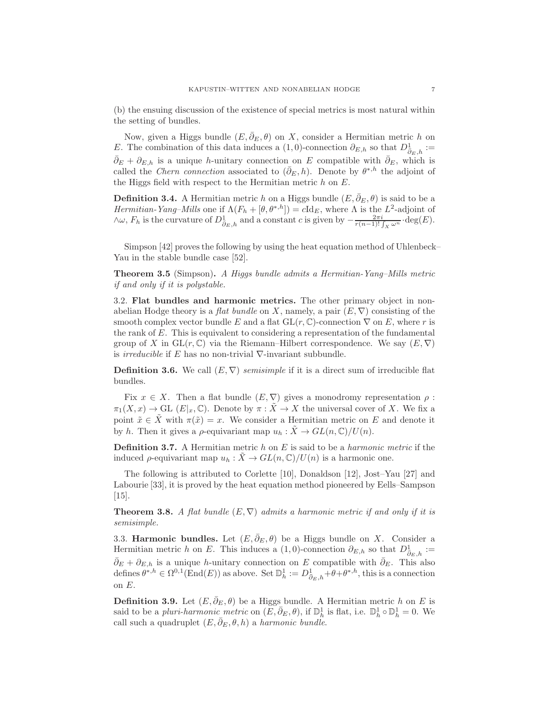(b) the ensuing discussion of the existence of special metrics is most natural within the setting of bundles.

Now, given a Higgs bundle  $(E, \bar{\partial}_E, \theta)$  on X, consider a Hermitian metric h on E. The combination of this data induces a (1,0)-connection  $\partial_{E,h}$  so that  $D^1_{\overline{\partial}_E,h}$  :=  $\bar{\partial}_E + \partial_{E,h}$  is a unique h-unitary connection on E compatible with  $\bar{\partial}_E$ , which is called the *Chern connection* associated to  $(\bar{\partial}_E, h)$ . Denote by  $\theta^{*,h}$  the adjoint of the Higgs field with respect to the Hermitian metric  $h$  on  $E$ .

**Definition 3.4.** A Hermitian metric h on a Higgs bundle  $(E, \partial_E, \theta)$  is said to be a *Hermitian-Yang–Mills* one if  $\Lambda(F_h + [\theta, \theta^{*,h}]) = c \mathrm{Id}_E$ , where  $\Lambda$  is the  $L^2$ -adjoint of  $\wedge \omega$ ,  $F_h$  is the curvature of  $D^1_{\overline{\partial}_E,h}$  and a constant c is given by  $-\frac{2\pi i}{r(n-1)!\int_X \omega^n} \cdot \deg(E)$ .

Simpson [42] proves the following by using the heat equation method of Uhlenbeck– Yau in the stable bundle case [52].

Theorem 3.5 (Simpson). *A Higgs bundle admits a Hermitian-Yang–Mills metric if and only if it is polystable.*

3.2. Flat bundles and harmonic metrics. The other primary object in nonabelian Hodge theory is a *flat bundle* on X, namely, a pair  $(E, \nabla)$  consisting of the smooth complex vector bundle E and a flat  $GL(r, \mathbb{C})$ -connection  $\nabla$  on E, where r is the rank of E. This is equivalent to considering a representation of the fundamental group of X in  $GL(r, \mathbb{C})$  via the Riemann–Hilbert correspondence. We say  $(E, \nabla)$ is *irreducible* if E has no non-trivial ∇-invariant subbundle.

**Definition 3.6.** We call  $(E, \nabla)$  *semisimple* if it is a direct sum of irreducible flat bundles.

Fix  $x \in X$ . Then a flat bundle  $(E, \nabla)$  gives a monodromy representation  $\rho$ :  $\pi_1(X, x) \to \mathrm{GL} (E|_x, \mathbb{C})$ . Denote by  $\pi : \tilde{X} \to X$  the universal cover of X. We fix a point  $\tilde{x} \in \tilde{X}$  with  $\pi(\tilde{x}) = x$ . We consider a Hermitian metric on E and denote it by h. Then it gives a  $\rho$ -equivariant map  $u_h : \tilde{X} \to GL(n, \mathbb{C})/U(n)$ .

Definition 3.7. A Hermitian metric h on E is said to be a *harmonic metric* if the induced  $\rho$ -equivariant map  $u_h : \tilde{X} \to GL(n,\mathbb{C})/U(n)$  is a harmonic one.

The following is attributed to Corlette [10], Donaldson [12], Jost–Yau [27] and Labourie [33], it is proved by the heat equation method pioneered by Eells–Sampson [15].

**Theorem 3.8.** *A flat bundle*  $(E, \nabla)$  *admits a harmonic metric if and only if it is semisimple.*

3.3. Harmonic bundles. Let  $(E, \bar{\partial}_E, \theta)$  be a Higgs bundle on X. Consider a Hermitian metric h on E. This induces a  $(1,0)$ -connection  $\partial_{E,h}$  so that  $D^1_{\overline{\partial}_E,h} :=$  $\bar{\partial}_E + \partial_{E,h}$  is a unique h-unitary connection on E compatible with  $\bar{\partial}_E$ . This also defines  $\theta^{*,h} \in \Omega^{0,1}(\text{End}(E))$  as above. Set  $\mathbb{D}^1_h := D^1_{\bar{\partial}_E,h} + \theta + \theta^{*,h}$ , this is a connection on E.

**Definition 3.9.** Let  $(E, \bar{\partial}_E, \theta)$  be a Higgs bundle. A Hermitian metric h on E is said to be a *pluri-harmonic metric* on  $(E, \bar{\partial}_E, \theta)$ , if  $\mathbb{D}_h^1$  is flat, i.e.  $\mathbb{D}_h^1 \circ \mathbb{D}_h^1 = 0$ . We call such a quadruplet  $(E, \bar{\partial}_E, \theta, h)$  a *harmonic bundle*.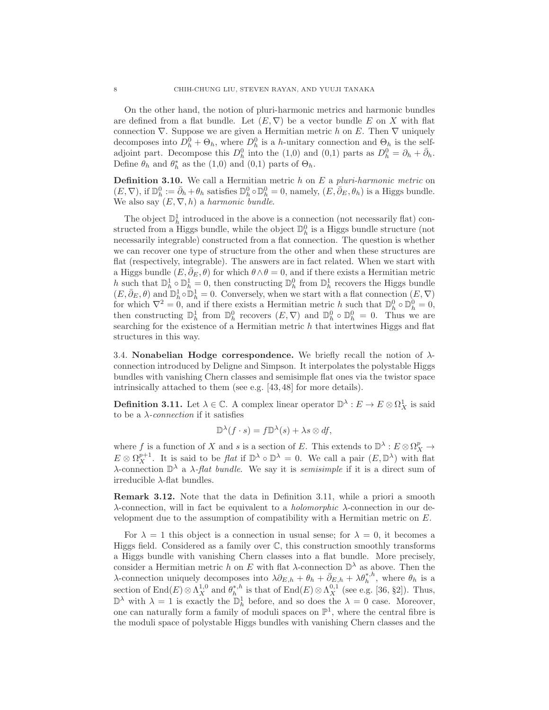On the other hand, the notion of pluri-harmonic metrics and harmonic bundles are defined from a flat bundle. Let  $(E, \nabla)$  be a vector bundle E on X with flat connection  $\nabla$ . Suppose we are given a Hermitian metric h on E. Then  $\nabla$  uniquely decomposes into  $D_h^0 + \Theta_h$ , where  $D_h^0$  is a h-unitary connection and  $\Theta_h$  is the selfadjoint part. Decompose this  $D_h^0$  into the (1,0) and (0,1) parts as  $D_h^0 = \partial_h + \bar{\partial}_h$ . Define  $\theta_h$  and  $\theta_h^*$  as the (1,0) and (0,1) parts of  $\Theta_h$ .

Definition 3.10. We call a Hermitian metric h on E a *pluri-harmonic metric* on  $(E, \nabla)$ , if  $\mathbb{D}_{h}^{0} := \bar{\partial}_{h} + \theta_{h}$  satisfies  $\mathbb{D}_{h}^{0} \circ \mathbb{D}_{h}^{0} = 0$ , namely,  $(E, \bar{\partial}_{E}, \theta_{h})$  is a Higgs bundle. We also say  $(E, \nabla, h)$  a *harmonic bundle*.

The object  $\mathbb{D}_h^1$  introduced in the above is a connection (not necessarily flat) constructed from a Higgs bundle, while the object  $\mathbb{D}_{h}^{0}$  is a Higgs bundle structure (not necessarily integrable) constructed from a flat connection. The question is whether we can recover one type of structure from the other and when these structures are flat (respectively, integrable). The answers are in fact related. When we start with a Higgs bundle  $(E, \bar{\partial}_E, \theta)$  for which  $\theta \wedge \theta = 0$ , and if there exists a Hermitian metric h such that  $\mathbb{D}_h^1 \circ \mathbb{D}_h^1 = 0$ , then constructing  $\mathbb{D}_h^0$  from  $\mathbb{D}_h^1$  recovers the Higgs bundle  $(E, \bar{\partial}_E, \theta)$  and  $\mathbb{D}_h^1 \circ \mathbb{D}_h^1 = 0$ . Conversely, when we start with a flat connection  $(E, \nabla)$ for which  $\nabla^2 = 0$ , and if there exists a Hermitian metric h such that  $\mathbb{D}_h^0 \circ \mathbb{D}_h^0 = 0$ , then constructing  $\mathbb{D}_{h}^{1}$  from  $\mathbb{D}_{h}^{0}$  recovers  $(E, \nabla)$  and  $\mathbb{D}_{h}^{0} \circ \mathbb{D}_{h}^{0} = 0$ . Thus we are searching for the existence of a Hermitian metric  $h$  that intertwines Higgs and flat structures in this way.

3.4. Nonabelian Hodge correspondence. We briefly recall the notion of  $\lambda$ connection introduced by Deligne and Simpson. It interpolates the polystable Higgs bundles with vanishing Chern classes and semisimple flat ones via the twistor space intrinsically attached to them (see e.g. [43, 48] for more details).

**Definition 3.11.** Let  $\lambda \in \mathbb{C}$ . A complex linear operator  $\mathbb{D}^{\lambda}: E \to E \otimes \Omega_X^1$  is said to be a  $\lambda$ -*connection* if it satisfies

$$
\mathbb{D}^{\lambda}(f \cdot s) = f \mathbb{D}^{\lambda}(s) + \lambda s \otimes df,
$$

where f is a function of X and s is a section of E. This extends to  $\mathbb{D}^{\lambda}: E \otimes \Omega_X^p \to$  $E \otimes \Omega_X^{p+1}$ . It is said to be *flat* if  $\mathbb{D}^{\lambda} \circ \mathbb{D}^{\lambda} = 0$ . We call a pair  $(E, \mathbb{D}^{\lambda})$  with flat λ-connection  $\mathbb{D}^{\lambda}$  a *λ*-*flat bundle*. We say it is *semisimple* if it is a direct sum of irreducible λ-flat bundles.

Remark 3.12. Note that the data in Definition 3.11, while a priori a smooth λ-connection, will in fact be equivalent to a *holomorphic* λ-connection in our development due to the assumption of compatibility with a Hermitian metric on E.

For  $\lambda = 1$  this object is a connection in usual sense; for  $\lambda = 0$ , it becomes a Higgs field. Considered as a family over C, this construction smoothly transforms a Higgs bundle with vanishing Chern classes into a flat bundle. More precisely, consider a Hermitian metric h on E with flat  $\lambda$ -connection  $\mathbb{D}^{\lambda}$  as above. Then the λ-connection uniquely decomposes into  $\lambda \partial_{E,h} + \theta_h + \overline{\partial}_{E,h} + \lambda \theta_h^{*,h}$ , where  $\theta_h$  is a section of  $\text{End}(E) \otimes \Lambda_X^{1,0}$  and  $\theta_h^{*,h}$  is that of  $\text{End}(E) \otimes \Lambda_X^{0,1}$  (see e.g. [36, §2]). Thus,  $\mathbb{D}^{\lambda}$  with  $\lambda = 1$  is exactly the  $\mathbb{D}_{h}^{1}$  before, and so does the  $\lambda = 0$  case. Moreover, one can naturally form a family of moduli spaces on  $\mathbb{P}^1$ , where the central fibre is the moduli space of polystable Higgs bundles with vanishing Chern classes and the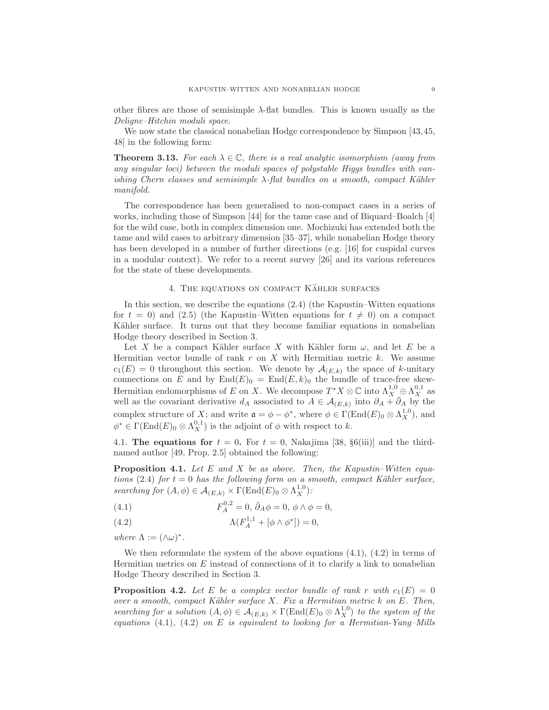other fibres are those of semisimple  $\lambda$ -flat bundles. This is known usually as the *Deligne–Hitchin moduli space*.

We now state the classical nonabelian Hodge correspondence by Simpson [43,45, 48] in the following form:

**Theorem 3.13.** For each  $\lambda \in \mathbb{C}$ , there is a real analytic isomorphism (away from *any singular loci) between the moduli spaces of polystable Higgs bundles with vanishing Chern classes and semisimple* λ*-flat bundles on a smooth, compact K¨ahler manifold.*

The correspondence has been generalised to non-compact cases in a series of works, including those of Simpson [44] for the tame case and of Biquard–Boalch [4] for the wild case, both in complex dimension one. Mochizuki has extended both the tame and wild cases to arbitrary dimension [35–37], while nonabelian Hodge theory has been developed in a number of further directions (e.g. [16] for cuspidal curves in a modular context). We refer to a recent survey [26] and its various references for the state of these developments.

#### 4. THE EQUATIONS ON COMPACT KÄHLER SURFACES

In this section, we describe the equations (2.4) (the Kapustin–Witten equations for  $t = 0$ ) and (2.5) (the Kapustin–Witten equations for  $t \neq 0$ ) on a compact Kähler surface. It turns out that they become familiar equations in nonabelian Hodge theory described in Section 3.

Let X be a compact Kähler surface X with Kähler form  $\omega$ , and let E be a Hermitian vector bundle of rank  $r$  on  $X$  with Hermitian metric  $k$ . We assume  $c_1(E) = 0$  throughout this section. We denote by  $\mathcal{A}_{(E,k)}$  the space of k-unitary connections on E and by  $\text{End}(E)_0 = \text{End}(E, k)_0$  the bundle of trace-free skew-Hermitian endomorphisms of E on X. We decompose  $T^*X \otimes \mathbb{C}$  into  $\Lambda^{1,0}_{X} \oplus \Lambda^{0,1}_{X}$  as well as the covariant derivative  $d_A$  associated to  $A \in \mathcal{A}_{(E,k)}$  into  $\partial_A + \overline{\partial}_A$  by the complex structure of X; and write  $\mathfrak{a} = \phi - \phi^*$ , where  $\phi \in \Gamma(\text{End}(E)_0 \otimes \Lambda_X^{1,0})$ , and  $\phi^* \in \Gamma(\text{End}(E)_0 \otimes \Lambda_X^{0,1})$  is the adjoint of  $\phi$  with respect to k.

4.1. The equations for  $t = 0$ . For  $t = 0$ , Nakajima [38, §6(iii)] and the thirdnamed author [49, Prop. 2.5] obtained the following:

Proposition 4.1. *Let* E *and* X *be as above. Then, the Kapustin–Witten equations* (2.4) *for*  $t = 0$  *has the following form on a smooth, compact Kähler surface, searching for*  $(A, \phi) \in \mathcal{A}_{(E,k)} \times \Gamma(\text{End}(E)_0 \otimes \Lambda_X^{1,0})$ :

(4.1) 
$$
F_A^{0,2} = 0, \, \bar{\partial}_A \phi = 0, \, \phi \wedge \phi = 0,
$$

(4.2) 
$$
\Lambda(F_A^{1,1} + [\phi \wedge \phi^*]) = 0,
$$

*where*  $\Lambda := (\wedge \omega)^*$ .

We then reformulate the system of the above equations  $(4.1)$ ,  $(4.2)$  in terms of Hermitian metrics on  $E$  instead of connections of it to clarify a link to nonabelian Hodge Theory described in Section 3.

**Proposition 4.2.** Let E be a complex vector bundle of rank r with  $c_1(E) = 0$ *over a smooth, compact K¨ahler surface* X*. Fix a Hermitian metric* k *on* E*. Then, searching for a solution*  $(A, \phi) \in \mathcal{A}_{(E,k)} \times \Gamma(\text{End}(E)_0 \otimes \Lambda_X^{1,0})$  *to the system of the equations* (4.1)*,* (4.2) *on* E *is equivalent to looking for a Hermitian-Yang–Mills*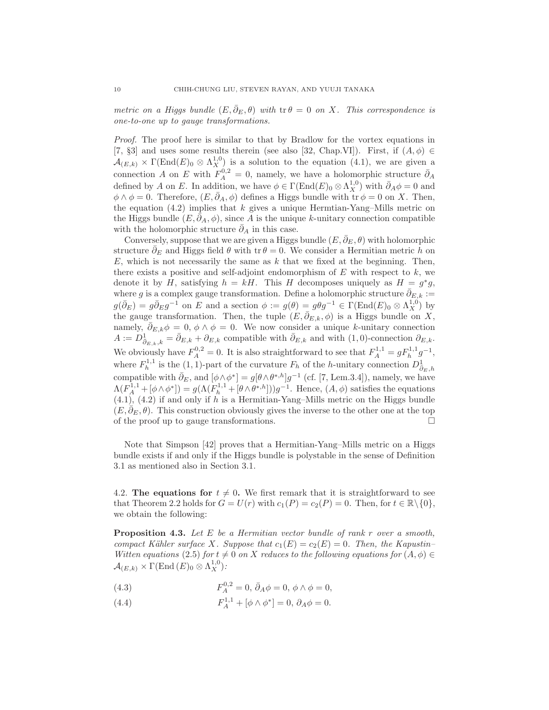*metric on a Higgs bundle*  $(E, \bar{\partial}_E, \theta)$  *with*  $tr \theta = 0$  *on X. This correspondence is one-to-one up to gauge transformations.*

*Proof.* The proof here is similar to that by Bradlow for the vortex equations in [7, §3] and uses some results therein (see also [32, Chap.VI]). First, if  $(A, \phi) \in$  $\mathcal{A}_{(E,k)} \times \Gamma(\text{End}(E)_0 \otimes \Lambda_X^{1,0})$  is a solution to the equation (4.1), we are given a connection A on E with  $F_A^{0,2} = 0$ , namely, we have a holomorphic structure  $\bar{\partial}_A$ defined by A on E. In addition, we have  $\phi \in \Gamma(\text{End}(E)_0 \otimes \Lambda_X^{1,0})$  with  $\bar{\partial}_A \phi = 0$  and  $\phi \wedge \phi = 0$ . Therefore,  $(E, \bar{\partial}_A, \phi)$  defines a Higgs bundle with  $tr \phi = 0$  on X. Then, the equation  $(4.2)$  implies that k gives a unique Hermtian-Yang–Mills metric on the Higgs bundle  $(E, \bar{\partial}_A, \phi)$ , since A is the unique k-unitary connection compatible with the holomorphic structure  $\partial_A$  in this case.

Conversely, suppose that we are given a Higgs bundle  $(E, \bar{\partial}_E, \theta)$  with holomorphic structure  $\bar{\partial}_E$  and Higgs field  $\theta$  with tr  $\theta = 0$ . We consider a Hermitian metric h on  $E$ , which is not necessarily the same as  $k$  that we fixed at the beginning. Then, there exists a positive and self-adjoint endomorphism of  $E$  with respect to  $k$ , we denote it by H, satisfying  $h = kH$ . This H decomposes uniquely as  $H = g^*g$ , where g is a complex gauge transformation. Define a holomorphic structure  $\partial_{E,k}$  :=  $g(\bar{\partial}_E) = g\bar{\partial}_E g^{-1}$  on E and a section  $\phi := g(\theta) = g\theta g^{-1} \in \Gamma(\text{End}(E)_0 \otimes \Lambda_X^{1,0})$  by the gauge transformation. Then, the tuple  $(E, \bar{\partial}_{E,k}, \phi)$  is a Higgs bundle on X, namely,  $\bar{\partial}_{E,k}\phi = 0$ ,  $\phi \wedge \phi = 0$ . We now consider a unique k-unitary connection  $A := D^1_{\bar{\partial}_{E,k},k} = \bar{\partial}_{E,k} + \partial_{E,k}$  compatible with  $\bar{\partial}_{E,k}$  and with  $(1,0)$ -connection  $\partial_{E,k}$ . We obviously have  $F_A^{0,2} = 0$ . It is also straightforward to see that  $F_A^{1,1} = gF_h^{1,1}g^{-1}$ , where  $F_h^{1,1}$  is the (1, 1)-part of the curvature  $F_h$  of the h-unitary connection  $D_{\bar{\partial}_E,h}^1$ compatible with  $\bar{\partial}_E$ , and  $[\phi \wedge \phi^*] = g[\theta \wedge \theta^{*,h}]g^{-1}$  (cf. [7, Lem.3.4]), namely, we have  $\Lambda(F_A^{1,1} + [\phi \wedge \phi^*]) = g(\Lambda(F_h^{1,1} + [\theta \wedge \theta^{*,h}]))g^{-1}$ . Hence,  $(A, \phi)$  satisfies the equations  $(4.1)$ ,  $(4.2)$  if and only if h is a Hermitian-Yang–Mills metric on the Higgs bundle  $(E, \partial_E, \theta)$ . This construction obviously gives the inverse to the other one at the top of the proof up to gauge transformations.

Note that Simpson [42] proves that a Hermitian-Yang–Mills metric on a Higgs bundle exists if and only if the Higgs bundle is polystable in the sense of Definition 3.1 as mentioned also in Section 3.1.

4.2. The equations for  $t \neq 0$ . We first remark that it is straightforward to see that Theorem 2.2 holds for  $G = U(r)$  with  $c_1(P) = c_2(P) = 0$ . Then, for  $t \in \mathbb{R} \setminus \{0\}$ , we obtain the following:

Proposition 4.3. *Let* E *be a Hermitian vector bundle of rank* r *over a smooth, compact Kähler surface X. Suppose that*  $c_1(E) = c_2(E) = 0$ *. Then, the Kapustin– Witten equations* (2.5) *for*  $t \neq 0$  *on* X *reduces to the following equations for*  $(A, \phi) \in$  $\mathcal{A}_{(E,k)} \times \Gamma(\mathrm{End}\,(E)_0 \otimes \Lambda^{1,0}_X)$ :

(4.3) 
$$
F_A^{0,2} = 0, \ \bar{\partial}_A \phi = 0, \ \phi \wedge \phi = 0,
$$

(4.4) 
$$
F_A^{1,1} + [\phi \wedge \phi^*] = 0, \ \partial_A \phi = 0.
$$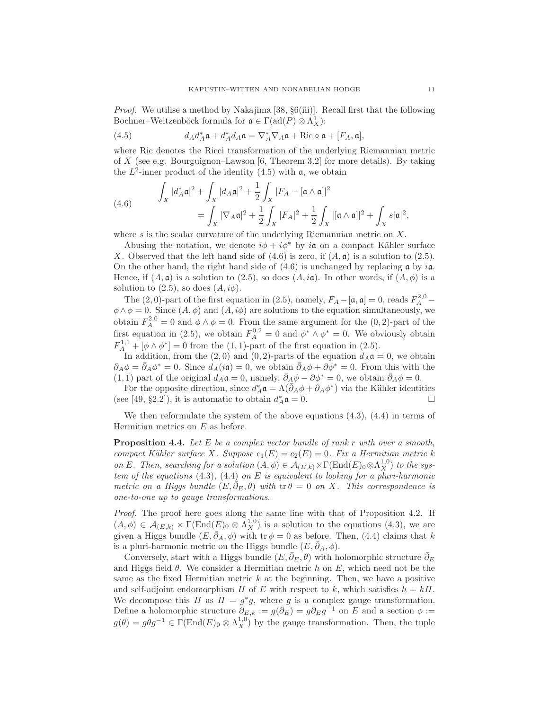*Proof.* We utilise a method by Nakajima [38, §6(iii)]. Recall first that the following Bochner–Weitzenböck formula for  $\mathfrak{a} \in \Gamma(\text{ad}(P) \otimes \Lambda^1_X)$ :

(4.5) 
$$
d_A d_A^* \mathfrak{a} + d_A^* d_A \mathfrak{a} = \nabla_A^* \nabla_A \mathfrak{a} + \text{Ric} \circ \mathfrak{a} + [F_A, \mathfrak{a}],
$$

where Ric denotes the Ricci transformation of the underlying Riemannian metric of X (see e.g. Bourguignon–Lawson [6, Theorem 3.2] for more details). By taking the  $L^2$ -inner product of the identity  $(4.5)$  with  $\mathfrak{a}$ , we obtain

(4.6) 
$$
\int_X |d_A^* \mathfrak{a}|^2 + \int_X |d_A \mathfrak{a}|^2 + \frac{1}{2} \int_X |F_A - [\mathfrak{a} \wedge \mathfrak{a}]|^2
$$

$$
= \int_X |\nabla_A \mathfrak{a}|^2 + \frac{1}{2} \int_X |F_A|^2 + \frac{1}{2} \int_X |[\mathfrak{a} \wedge \mathfrak{a}]|^2 + \int_X s |\mathfrak{a}|^2,
$$

where s is the scalar curvature of the underlying Riemannian metric on  $X$ .

Abusing the notation, we denote  $i\phi + i\phi^*$  by ia on a compact Kähler surface X. Observed that the left hand side of  $(4.6)$  is zero, if  $(A, \mathfrak{a})$  is a solution to  $(2.5)$ . On the other hand, the right hand side of  $(4.6)$  is unchanged by replacing a by ia. Hence, if  $(A, \mathfrak{a})$  is a solution to (2.5), so does  $(A, i\mathfrak{a})$ . In other words, if  $(A, \phi)$  is a solution to  $(2.5)$ , so does  $(A, i\phi)$ .

The (2,0)-part of the first equation in (2.5), namely,  $F_A - [\mathfrak{a}, \mathfrak{a}] = 0$ , reads  $F_A^{2,0}$  –  $\phi \wedge \phi = 0$ . Since  $(A, \phi)$  and  $(A, i\phi)$  are solutions to the equation simultaneously, we obtain  $F_A^{2,0} = 0$  and  $\phi \wedge \phi = 0$ . From the same argument for the  $(0, 2)$ -part of the first equation in (2.5), we obtain  $F_A^{0,2} = 0$  and  $\phi^* \wedge \phi^* = 0$ . We obviously obtain  $F_A^{1,1} + [\phi \wedge \phi^*] = 0$  from the (1, 1)-part of the first equation in (2.5).

In addition, from the (2,0) and (0,2)-parts of the equation  $d_A \mathfrak{a} = 0$ , we obtain  $\partial_A \phi = \bar{\partial}_A \phi^* = 0$ . Since  $d_A(i\mathfrak{a}) = 0$ , we obtain  $\bar{\partial}_A \phi + \partial \phi^* = 0$ . From this with the (1, 1) part of the original  $d_A \mathfrak{a} = 0$ , namely,  $\bar{\partial}_A \phi - \partial \phi^* = 0$ , we obtain  $\bar{\partial}_A \phi = 0$ .

For the opposite direction, since  $d_A^* \mathfrak{a} = \Lambda(\bar{\partial}_A \phi + \partial_A \phi^*)$  via the Kähler identities (see [49, §2.2]), it is automatic to obtain  $d_A^* \mathfrak{a} = 0$ .

We then reformulate the system of the above equations (4.3), (4.4) in terms of Hermitian metrics on E as before.

Proposition 4.4. *Let* E *be a complex vector bundle of rank* r *with over a smooth, compact Kähler surface* X*.* Suppose  $c_1(E) = c_2(E) = 0$ *. Fix a Hermitian metric* k *on* E. Then, searching for a solution  $(A, \phi) \in \mathcal{A}_{(E,k)} \times \Gamma(\text{End}(E)_0 \otimes \Lambda_X^{1,0})$  to the sys*tem of the equations* (4.3)*,* (4.4) *on* E *is equivalent to looking for a pluri-harmonic metric on a Higgs bundle*  $(E, \partial_E, \theta)$  *with* tr  $\theta = 0$  *on X. This correspondence is one-to-one up to gauge transformations.*

*Proof.* The proof here goes along the same line with that of Proposition 4.2. If  $(A, \phi) \in \mathcal{A}_{(E,k)} \times \Gamma(\text{End}(E)_0 \otimes \Lambda_X^{1,0})$  is a solution to the equations  $(4.3)$ , we are given a Higgs bundle  $(E, \bar{\partial}_A, \phi)$  with tr  $\phi = 0$  as before. Then, (4.4) claims that k is a pluri-harmonic metric on the Higgs bundle  $(E, \bar{\partial}_A, \phi)$ .

Conversely, start with a Higgs bundle  $(E, \bar{\partial}_E, \theta)$  with holomorphic structure  $\bar{\partial}_E$ and Higgs field  $\theta$ . We consider a Hermitian metric h on E, which need not be the same as the fixed Hermitian metric  $k$  at the beginning. Then, we have a positive and self-adjoint endomorphism H of E with respect to k, which satisfies  $h = kH$ . We decompose this H as  $H = g^*g$ , where g is a complex gauge transformation. Define a holomorphic structure  $\bar{\partial}_{E,k} := g(\bar{\partial}_E) = g\bar{\partial}_E g^{-1}$  on E and a section  $\phi :=$  $g(\theta) = g\theta g^{-1} \in \Gamma(\text{End}(E)_0 \otimes \Lambda_X^{1,0})$  by the gauge transformation. Then, the tuple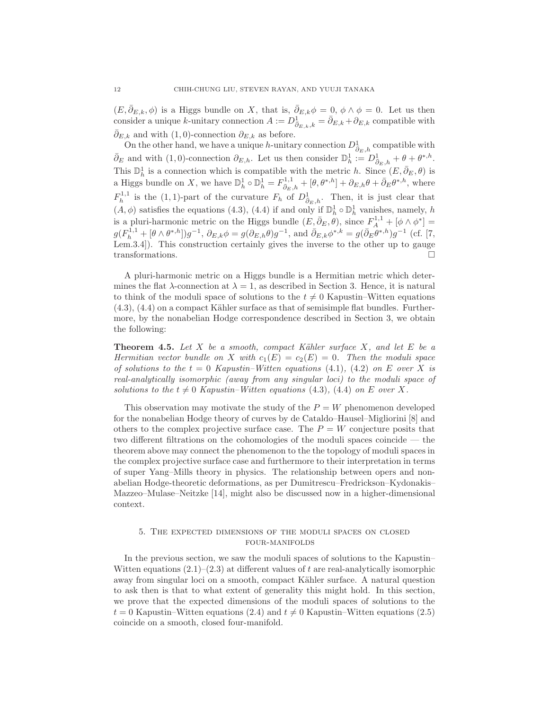$(E, \bar{\partial}_{E,k}, \phi)$  is a Higgs bundle on X, that is,  $\bar{\partial}_{E,k}\phi = 0$ ,  $\phi \wedge \phi = 0$ . Let us then consider a unique k-unitary connection  $A := D^1_{\bar{\partial}_{E,k},k} = \bar{\partial}_{E,k} + \partial_{E,k}$  compatible with  $\bar{\partial}_{E,k}$  and with (1,0)-connection  $\partial_{E,k}$  as before.

On the other hand, we have a unique h-unitary connection  $D^1_{\bar{\partial}_E,h}$  compatible with  $\bar{\partial}_E$  and with (1,0)-connection  $\partial_{E,h}$ . Let us then consider  $\mathbb{D}_h^1 := D^1_{\bar{\partial}_E,h} + \theta + \theta^{*,h}$ . This  $\mathbb{D}^1_h$  is a connection which is compatible with the metric h. Since  $(E, \bar{\partial}_E, \theta)$  is a Higgs bundle on X, we have  $\mathbb{D}_{h}^{1} \circ \mathbb{D}_{h}^{1} = F_{\bar{\partial}_{E},h}^{1,1} + [\theta, \theta^{*,h}] + \partial_{E,h}\theta + \bar{\partial}_{E}\theta^{*,h}$ , where  $F_h^{1,1}$  is the (1, 1)-part of the curvature  $F_h$  of  $D^1_{\bar{\partial}_E,h}$ . Then, it is just clear that  $(A, \phi)$  satisfies the equations (4.3), (4.4) if and only if  $\mathbb{D}_h^1 \circ \mathbb{D}_h^1$  vanishes, namely, h is a pluri-harmonic metric on the Higgs bundle  $(E, \bar{\partial}_E, \theta)$ , since  $F_A^{1,1} + [\phi \wedge \phi^*] =$  $g(F_h^{1,1} + [\theta \wedge \theta^{*,h}])g^{-1}, \ \partial_{E,k}\phi = g(\partial_{E,h}\theta)g^{-1}, \text{ and } \bar{\partial}_{E,k}\phi^{*,k} = g(\bar{\partial}_E\theta^{*,h})g^{-1} \text{ (cf. [7,$ Lem.3.4]). This construction certainly gives the inverse to the other up to gauge transformations.

A pluri-harmonic metric on a Higgs bundle is a Hermitian metric which determines the flat  $\lambda$ -connection at  $\lambda = 1$ , as described in Section 3. Hence, it is natural to think of the moduli space of solutions to the  $t \neq 0$  Kapustin–Witten equations  $(4.3)$ ,  $(4.4)$  on a compact Kähler surface as that of semisimple flat bundles. Furthermore, by the nonabelian Hodge correspondence described in Section 3, we obtain the following:

Theorem 4.5. *Let* X *be a smooth, compact K¨ahler surface* X*, and let* E *be a Hermitian vector bundle on* X *with*  $c_1(E) = c_2(E) = 0$ *. Then the moduli space of solutions to the*  $t = 0$  *Kapustin–Witten equations* (4.1)*,* (4.2) *on* E *over* X *is real-analytically isomorphic (away from any singular loci) to the moduli space of solutions to the*  $t \neq 0$  *Kapustin–Witten equations* (4.3)*,* (4.4) *on E over X*.

This observation may motivate the study of the  $P = W$  phenomenon developed for the nonabelian Hodge theory of curves by de Cataldo–Hausel–Migliorini [8] and others to the complex projective surface case. The  $P = W$  conjecture posits that two different filtrations on the cohomologies of the moduli spaces coincide — the theorem above may connect the phenomenon to the the topology of moduli spaces in the complex projective surface case and furthermore to their interpretation in terms of super Yang–Mills theory in physics. The relationship between opers and nonabelian Hodge-theoretic deformations, as per Dumitrescu–Fredrickson–Kydonakis– Mazzeo–Mulase–Neitzke [14], might also be discussed now in a higher-dimensional context.

# 5. The expected dimensions of the moduli spaces on closed four-manifolds

In the previous section, we saw the moduli spaces of solutions to the Kapustin– Witten equations  $(2.1)$ – $(2.3)$  at different values of t are real-analytically isomorphic away from singular loci on a smooth, compact Kähler surface. A natural question to ask then is that to what extent of generality this might hold. In this section, we prove that the expected dimensions of the moduli spaces of solutions to the  $t = 0$  Kapustin–Witten equations (2.4) and  $t \neq 0$  Kapustin–Witten equations (2.5) coincide on a smooth, closed four-manifold.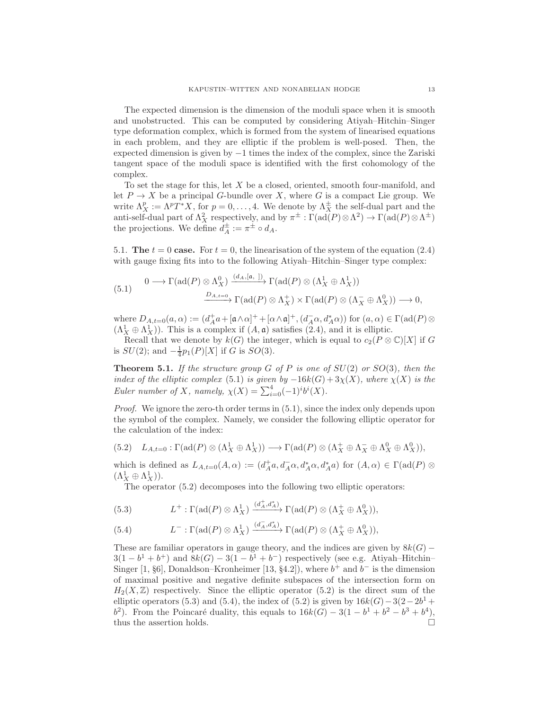The expected dimension is the dimension of the moduli space when it is smooth and unobstructed. This can be computed by considering Atiyah–Hitchin–Singer type deformation complex, which is formed from the system of linearised equations in each problem, and they are elliptic if the problem is well-posed. Then, the expected dimension is given by −1 times the index of the complex, since the Zariski tangent space of the moduli space is identified with the first cohomology of the complex.

To set the stage for this, let X be a closed, oriented, smooth four-manifold, and let  $P \to X$  be a principal G-bundle over X, where G is a compact Lie group. We write  $\Lambda_X^p := \Lambda^p T^* X$ , for  $p = 0, \ldots, 4$ . We denote by  $\Lambda_X^{\pm}$  the self-dual part and the anti-self-dual part of  $\Lambda_X^2$  respectively, and by  $\pi^{\pm} : \Gamma(\text{ad}(P) \otimes \Lambda^2) \to \Gamma(\text{ad}(P) \otimes \Lambda^{\pm})$ the projections. We define  $d_A^{\pm} := \pi^{\pm} \circ d_A$ .

5.1. The  $t = 0$  case. For  $t = 0$ , the linearisation of the system of the equation (2.4) with gauge fixing fits into to the following Atiyah–Hitchin–Singer type complex:

$$
(5.1) \qquad 0 \longrightarrow \Gamma(\text{ad}(P) \otimes \Lambda_X^0) \xrightarrow{(d_A, [\mathfrak{a}, ])} \Gamma(\text{ad}(P) \otimes (\Lambda_X^1 \oplus \Lambda_X^1))
$$

$$
\xrightarrow{D_{A, t=0}} \Gamma(\text{ad}(P) \otimes \Lambda_X^+) \times \Gamma(\text{ad}(P) \otimes (\Lambda_X^- \oplus \Lambda_X^0)) \longrightarrow 0,
$$

where  $D_{A,t=0}(a,\alpha) := (d_A^+ a + [\mathfrak{a} \wedge \alpha]^+ + [\alpha \wedge \mathfrak{a}]^+, (d_A^- \alpha, d_A^* \alpha))$  for  $(a, \alpha) \in \Gamma(\text{ad}(P) \otimes$  $(\Lambda_X^1 \oplus \Lambda_X^1)$ . This is a complex if  $(A, \mathfrak{a})$  satisfies  $(2.4)$ , and it is elliptic.

Recall that we denote by  $k(G)$  the integer, which is equal to  $c_2(P \otimes \mathbb{C})[X]$  if G is  $SU(2)$ ; and  $-\frac{1}{4}p_1(P)[X]$  if G is  $SO(3)$ .

Theorem 5.1. *If the structure group* G *of* P *is one of* SU(2) *or* SO(3)*, then the index of the elliptic complex* (5.1) *is given by*  $-16k(G) + 3\chi(X)$ *, where*  $\chi(X)$  *is the Euler number of X, namely,*  $\chi(X) = \sum_{i=0}^{4} (-1)^{i} b^{i}(X)$ *.* 

*Proof.* We ignore the zero-th order terms in  $(5.1)$ , since the index only depends upon the symbol of the complex. Namely, we consider the following elliptic operator for the calculation of the index:

$$
(5.2) \quad L_{A,t=0} : \Gamma(\text{ad}(P) \otimes (\Lambda_X^1 \oplus \Lambda_X^1)) \longrightarrow \Gamma(\text{ad}(P) \otimes (\Lambda_X^+ \oplus \Lambda_X^- \oplus \Lambda_X^0 \oplus \Lambda_X^0)),
$$

which is defined as  $L_{A,t=0}(A,\alpha) := (d_A^+a, d_A^-a, d_A^*a, d_A^*a)$  for  $(A,\alpha) \in \Gamma(\text{ad}(P) \otimes$  $(\Lambda_X^1 \oplus \Lambda_X^1)).$ 

The operator (5.2) decomposes into the following two elliptic operators:

(5.3) 
$$
L^+:\Gamma(\mathrm{ad}(P)\otimes\Lambda_X^1)\xrightarrow{(d_A^+,d_A^*)}\Gamma(\mathrm{ad}(P)\otimes(\Lambda_X^+\oplus\Lambda_X^0)),
$$

(5.4) 
$$
L^{-}:\Gamma(\text{ad}(P)\otimes\Lambda_X^1)\xrightarrow{(d_A^-,d_A^*)}\Gamma(\text{ad}(P)\otimes(\Lambda_X^+\oplus\Lambda_X^0)),
$$

These are familiar operators in gauge theory, and the indices are given by  $8k(G)$  −  $3(1-b^1+b^+)$  and  $8k(G)-3(1-b^1+b^-)$  respectively (see e.g. Atiyah–Hitchin– Singer [1, §6], Donaldson–Kronheimer [13, §4.2]), where  $b^+$  and  $b^-$  is the dimension of maximal positive and negative definite subspaces of the intersection form on  $H_2(X,\mathbb{Z})$  respectively. Since the elliptic operator (5.2) is the direct sum of the elliptic operators (5.3) and (5.4), the index of (5.2) is given by  $16k(G) - 3(2-2b<sup>1</sup> +$  $b^2$ ). From the Poincaré duality, this equals to  $16k(G) - 3(1 - b^1 + b^2 - b^3 + b^4)$ , thus the assertion holds.  $\Box$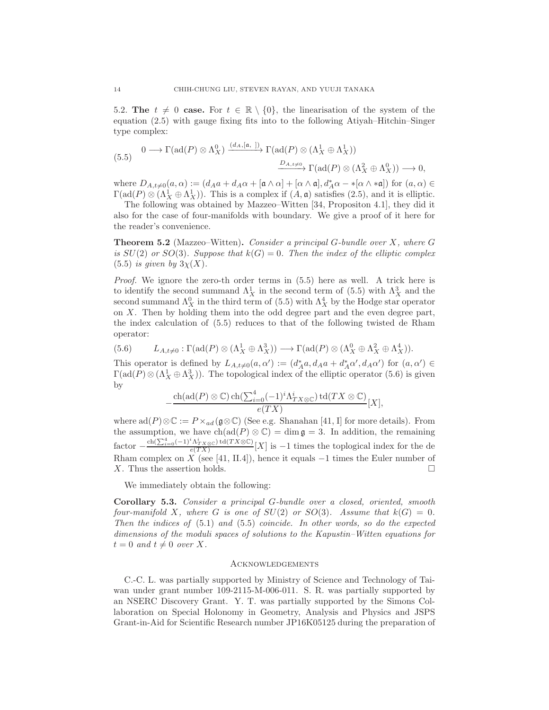5.2. The  $t \neq 0$  case. For  $t \in \mathbb{R} \setminus \{0\}$ , the linearisation of the system of the equation (2.5) with gauge fixing fits into to the following Atiyah–Hitchin–Singer type complex:

$$
(5.5) \quad 0 \longrightarrow \Gamma(\text{ad}(P) \otimes \Lambda_X^0) \xrightarrow{(d_A, [\mathfrak{a}, ])} \Gamma(\text{ad}(P) \otimes (\Lambda_X^1 \oplus \Lambda_X^1))
$$

$$
\xrightarrow{D_{A, t \neq 0}} \Gamma(\text{ad}(P) \otimes (\Lambda_X^2 \oplus \Lambda_X^0)) \longrightarrow 0,
$$

where  $D_{A,t\neq0}(a,\alpha) := (d_A a + d_A a + [\mathfrak{a} \wedge \alpha] + [\alpha \wedge \mathfrak{a}], d_A^* \alpha - *[\alpha \wedge * \mathfrak{a}])$  for  $(a,\alpha) \in$  $\Gamma(\text{ad}(P) \otimes (\Lambda_X^1 \oplus \Lambda_X^1))$ . This is a complex if  $(A, \mathfrak{a})$  satisfies  $(2.5)$ , and it is elliptic.

The following was obtained by Mazzeo–Witten [34, Propositon 4.1], they did it also for the case of four-manifolds with boundary. We give a proof of it here for the reader's convenience.

Theorem 5.2 (Mazzeo–Witten). *Consider a principal* G*-bundle over* X*, where* G *is*  $SU(2)$  *or*  $SO(3)$ *. Suppose that*  $k(G) = 0$ *. Then the index of the elliptic complex*  $(5.5)$  *is given by*  $3\chi(X)$ .

*Proof.* We ignore the zero-th order terms in (5.5) here as well. A trick here is to identify the second summand  $\Lambda_X^1$  in the second term of (5.5) with  $\Lambda_X^3$  and the second summand  $\Lambda_X^0$  in the third term of (5.5) with  $\Lambda_X^4$  by the Hodge star operator on X. Then by holding them into the odd degree part and the even degree part, the index calculation of (5.5) reduces to that of the following twisted de Rham operator:

$$
(5.6) \qquad L_{A,t\neq 0}:\Gamma(\mathrm{ad}(P)\otimes(\Lambda_X^1\oplus\Lambda_X^3))\longrightarrow \Gamma(\mathrm{ad}(P)\otimes(\Lambda_X^0\oplus\Lambda_X^2\oplus\Lambda_X^4)).
$$

This operator is defined by  $L_{A,t\neq0}(a,\alpha') := (d_A^*a, d_Aa + d_A^*\alpha', d_A\alpha')$  for  $(a,\alpha') \in$  $\Gamma(\text{ad}(P) \otimes (\Lambda_X^1 \oplus \Lambda_X^3))$ . The topological index of the elliptic operator (5.6) is given by

$$
-\frac{\mathrm{ch}(\mathrm{ad}(P)\otimes \mathbb{C})\,\mathrm{ch}(\sum_{i=0}^4(-1)^i\Lambda_{TX\otimes\mathbb{C}}^i)\,\mathrm{td}(TX\otimes\mathbb{C})}{e(TX)}[X],
$$

where  $ad(P)\otimes \mathbb{C} := P\times_{ad}(\mathfrak{g}\otimes \mathbb{C})$  (See e.g. Shanahan [41, I] for more details). From the assumption, we have  $\text{ch}(\text{ad}(P) \otimes \mathbb{C}) = \dim \mathfrak{g} = 3$ . In addition, the remaining  $\text{factor} - \frac{\text{ch}(\sum_{i=0}^4 (-1)^i \Lambda_{TX\otimes\mathbb{C}}^i) \text{td}(TX\otimes\mathbb{C})}{e(TX)}$  $\frac{N_{TX\otimes\mathbb{C}}\log(TX)}{e(TX)}$  is -1 times the toplogical index for the de Rham complex on  $\overline{X}$  (see [41, II.4]), hence it equals  $-1$  times the Euler number of X. Thus the assertion holds.  $\square$ 

We immediately obtain the following:

Corollary 5.3. *Consider a principal* G*-bundle over a closed, oriented, smooth four-manifold* X, where G is one of  $SU(2)$  or  $SO(3)$ . Assume that  $k(G) = 0$ . *Then the indices of* (5.1) *and* (5.5) *coincide. In other words, so do the expected dimensions of the moduli spaces of solutions to the Kapustin–Witten equations for*  $t = 0$  *and*  $t \neq 0$  *over* X.

# **ACKNOWLEDGEMENTS**

C.-C. L. was partially supported by Ministry of Science and Technology of Taiwan under grant number 109-2115-M-006-011. S. R. was partially supported by an NSERC Discovery Grant. Y. T. was partially supported by the Simons Collaboration on Special Holonomy in Geometry, Analysis and Physics and JSPS Grant-in-Aid for Scientific Research number JP16K05125 during the preparation of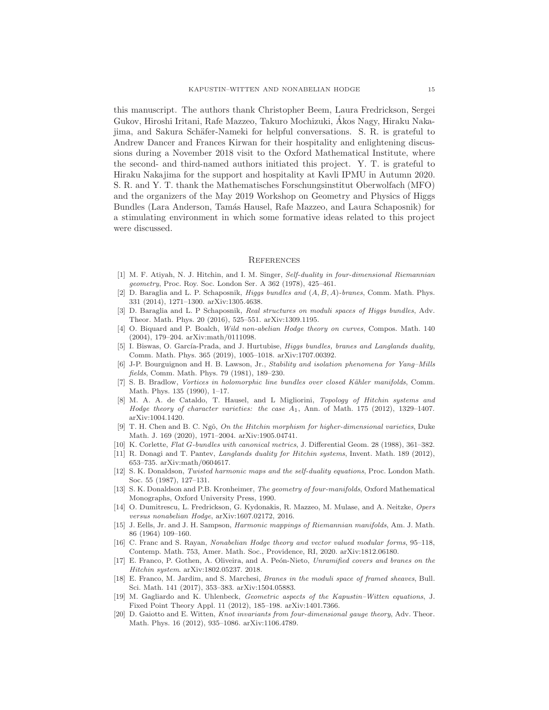this manuscript. The authors thank Christopher Beem, Laura Fredrickson, Sergei Gukov, Hiroshi Iritani, Rafe Mazzeo, Takuro Mochizuki, Akos Nagy, Hiraku Naka- ´ jima, and Sakura Schäfer-Nameki for helpful conversations. S. R. is grateful to Andrew Dancer and Frances Kirwan for their hospitality and enlightening discussions during a November 2018 visit to the Oxford Mathematical Institute, where the second- and third-named authors initiated this project. Y. T. is grateful to Hiraku Nakajima for the support and hospitality at Kavli IPMU in Autumn 2020. S. R. and Y. T. thank the Mathematisches Forschungsinstitut Oberwolfach (MFO) and the organizers of the May 2019 Workshop on Geometry and Physics of Higgs Bundles (Lara Anderson, Tam´as Hausel, Rafe Mazzeo, and Laura Schaposnik) for a stimulating environment in which some formative ideas related to this project were discussed.

#### **REFERENCES**

- [1] M. F. Atiyah, N. J. Hitchin, and I. M. Singer, Self-duality in four-dimensional Riemannian geometry, Proc. Roy. Soc. London Ser. A 362 (1978), 425–461.
- [2] D. Baraglia and L. P. Schaposnik, *Higgs bundles and*  $(A, B, A)$ -branes, Comm. Math. Phys. 331 (2014), 1271–1300. arXiv:1305.4638.
- [3] D. Baraglia and L. P Schaposnik, Real structures on moduli spaces of Higgs bundles, Adv. Theor. Math. Phys. 20 (2016), 525–551. arXiv:1309.1195.
- [4] O. Biquard and P. Boalch, Wild non-abelian Hodge theory on curves, Compos. Math. 140 (2004), 179–204. arXiv:math/0111098.
- [5] I. Biswas, O. García-Prada, and J. Hurtubise, *Higgs bundles, branes and Langlands duality*, Comm. Math. Phys. 365 (2019), 1005–1018. arXiv:1707.00392.
- [6] J-P. Bourguignon and H. B. Lawson, Jr., Stability and isolation phenomena for Yang–Mills fields, Comm. Math. Phys. 79 (1981), 189–230.
- [7] S. B. Bradlow, Vortices in holomorphic line bundles over closed Kähler manifolds, Comm. Math. Phys. 135 (1990), 1–17.
- [8] M. A. A. de Cataldo, T. Hausel, and L Migliorini, Topology of Hitchin systems and Hodge theory of character varieties: the case  $A_1$ , Ann. of Math. 175 (2012), 1329–1407. arXiv:1004.1420.
- [9] T. H. Chen and B. C. Ngô, On the Hitchin morphism for higher-dimensional varieties, Duke Math. J. 169 (2020), 1971–2004. arXiv:1905.04741.
- [10] K. Corlette, Flat G-bundles with canonical metrics, J. Differential Geom. 28 (1988), 361–382.
- [11] R. Donagi and T. Pantev, Langlands duality for Hitchin systems, Invent. Math. 189 (2012), 653–735. arXiv:math/0604617.
- [12] S. K. Donaldson, Twisted harmonic maps and the self-duality equations, Proc. London Math. Soc. 55 (1987), 127–131.
- [13] S. K. Donaldson and P.B. Kronheimer, The geometry of four-manifolds, Oxford Mathematical Monographs, Oxford University Press, 1990.
- [14] O. Dumitrescu, L. Fredrickson, G. Kydonakis, R. Mazzeo, M. Mulase, and A. Neitzke, Opers versus nonabelian Hodge, arXiv:1607.02172, 2016.
- [15] J. Eells, Jr. and J. H. Sampson, Harmonic mappings of Riemannian manifolds, Am. J. Math. 86 (1964) 109–160.
- [16] C. Franc and S. Rayan, Nonabelian Hodge theory and vector valued modular forms, 95–118, Contemp. Math. 753, Amer. Math. Soc., Providence, RI, 2020. arXiv:1812.06180.
- [17] E. Franco, P. Gothen, A. Oliveira, and A. Peón-Nieto, Unramified covers and branes on the Hitchin system. arXiv:1802.05237. 2018.
- [18] E. Franco, M. Jardim, and S. Marchesi, Branes in the moduli space of framed sheaves, Bull. Sci. Math. 141 (2017), 353–383. arXiv:1504.05883.
- [19] M. Gagliardo and K. Uhlenbeck, Geometric aspects of the Kapustin–Witten equations, J. Fixed Point Theory Appl. 11 (2012), 185–198. arXiv:1401.7366.
- [20] D. Gaiotto and E. Witten, Knot invariants from four-dimensional gauge theory, Adv. Theor. Math. Phys. 16 (2012), 935–1086. arXiv:1106.4789.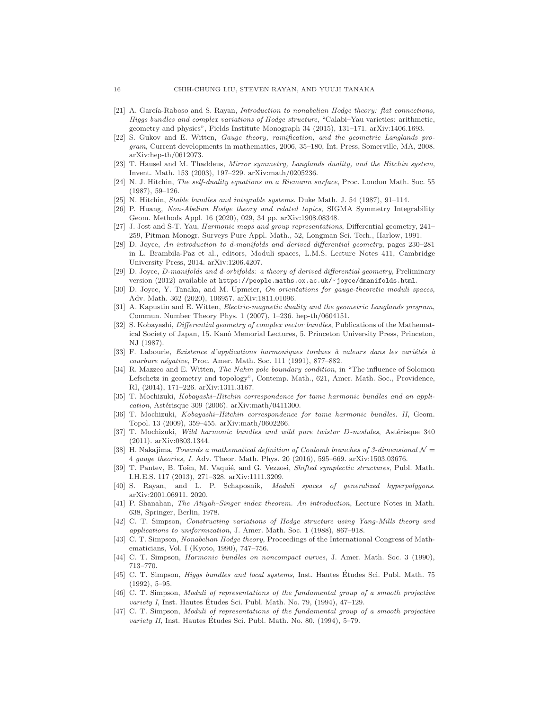- [21] A. García-Raboso and S. Rayan, *Introduction to nonabelian Hodge theory: flat connections*, Higgs bundles and complex variations of Hodge structure, "Calabi–Yau varieties: arithmetic, geometry and physics", Fields Institute Monograph 34 (2015), 131–171. arXiv:1406.1693.
- [22] S. Gukov and E. Witten, Gauge theory, ramification, and the geometric Langlands program, Current developments in mathematics, 2006, 35–180, Int. Press, Somerville, MA, 2008. arXiv:hep-th/0612073.
- [23] T. Hausel and M. Thaddeus, Mirror symmetry, Langlands duality, and the Hitchin system, Invent. Math. 153 (2003), 197–229. arXiv:math/0205236.
- [24] N. J. Hitchin, The self-duality equations on a Riemann surface, Proc. London Math. Soc. 55 (1987), 59–126.
- [25] N. Hitchin, Stable bundles and integrable systems. Duke Math. J. 54 (1987), 91–114.
- [26] P. Huang, Non-Abelian Hodge theory and related topics, SIGMA Symmetry Integrability Geom. Methods Appl. 16 (2020), 029, 34 pp. arXiv:1908.08348.
- [27] J. Jost and S-T. Yau, Harmonic maps and group representations, Differential geometry, 241– 259, Pitman Monogr. Surveys Pure Appl. Math., 52, Longman Sci. Tech., Harlow, 1991.
- [28] D. Joyce, An introduction to d-manifolds and derived differential geometry, pages 230–281 in L. Brambila-Paz et al., editors, Moduli spaces, L.M.S. Lecture Notes 411, Cambridge University Press, 2014. arXiv:1206.4207.
- [29] D. Joyce, D-manifolds and d-orbifolds: a theory of derived differential geometry, Preliminary version (2012) available at https://people.maths.ox.ac.uk/~joyce/dmanifolds.html.
- [30] D. Joyce, Y. Tanaka, and M. Upmeier, On orientations for gauge-theoretic moduli spaces, Adv. Math. 362 (2020), 106957. arXiv:1811.01096.
- [31] A. Kapustin and E. Witten, *Electric-magnetic duality and the geometric Langlands program*, Commun. Number Theory Phys. 1 (2007), 1–236. hep-th/0604151.
- [32] S. Kobayashi, Differential geometry of complex vector bundles, Publications of the Mathematical Society of Japan, 15. Kanô Memorial Lectures, 5. Princeton University Press, Princeton, NJ (1987).
- [33] F. Labourie, Existence d'applications harmoniques tordues à valeurs dans les variétés à courbure négative, Proc. Amer. Math. Soc. 111 (1991), 877-882.
- [34] R. Mazzeo and E. Witten, *The Nahm pole boundary condition*, in "The influence of Solomon" Lefschetz in geometry and topology", Contemp. Math., 621, Amer. Math. Soc., Providence, RI, (2014), 171–226. arXiv:1311.3167.
- [35] T. Mochizuki, Kobayashi–Hitchin correspondence for tame harmonic bundles and an appli $cation, Astérisque 309 (2006). arXiv:math/0411300.$
- [36] T. Mochizuki, Kobayashi–Hitchin correspondence for tame harmonic bundles. II, Geom. Topol. 13 (2009), 359–455. arXiv:math/0602266.
- [37] T. Mochizuki, Wild harmonic bundles and wild pure twistor D-modules, Astérisque 340 (2011). arXiv:0803.1344.
- [38] H. Nakajima, Towards a mathematical definition of Coulomb branches of 3-dimensional  $\mathcal{N} =$ 4 gauge theories, I. Adv. Theor. Math. Phys. 20 (2016), 595–669. arXiv:1503.03676.
- [39] T. Pantev, B. Toën, M. Vaquié, and G. Vezzosi, Shifted symplectic structures, Publ. Math. I.H.E.S. 117 (2013), 271–328. arXiv:1111.3209.
- [40] S. Rayan, and L. P. Schaposnik, Moduli spaces of generalized hyperpolygons. arXiv:2001.06911. 2020.
- [41] P. Shanahan, The Atiyah–Singer index theorem. An introduction, Lecture Notes in Math. 638, Springer, Berlin, 1978.
- [42] C. T. Simpson, Constructing variations of Hodge structure using Yang-Mills theory and applications to uniformization, J. Amer. Math. Soc. 1 (1988), 867–918.
- [43] C. T. Simpson, Nonabelian Hodge theory, Proceedings of the International Congress of Mathematicians, Vol. I (Kyoto, 1990), 747–756.
- [44] C. T. Simpson, Harmonic bundles on noncompact curves, J. Amer. Math. Soc. 3 (1990), 713–770.
- [45] C. T. Simpson, *Higgs bundles and local systems*, Inst. Hautes Études Sci. Publ. Math. 75 (1992), 5–95.
- [46] C. T. Simpson, Moduli of representations of the fundamental group of a smooth projective variety I, Inst. Hautes Études Sci. Publ. Math. No. 79,  $(1994)$ ,  $47-129$ .
- [47] C. T. Simpson, Moduli of representations of the fundamental group of a smooth projective variety II, Inst. Hautes Études Sci. Publ. Math. No. 80,  $(1994)$ , 5–79.